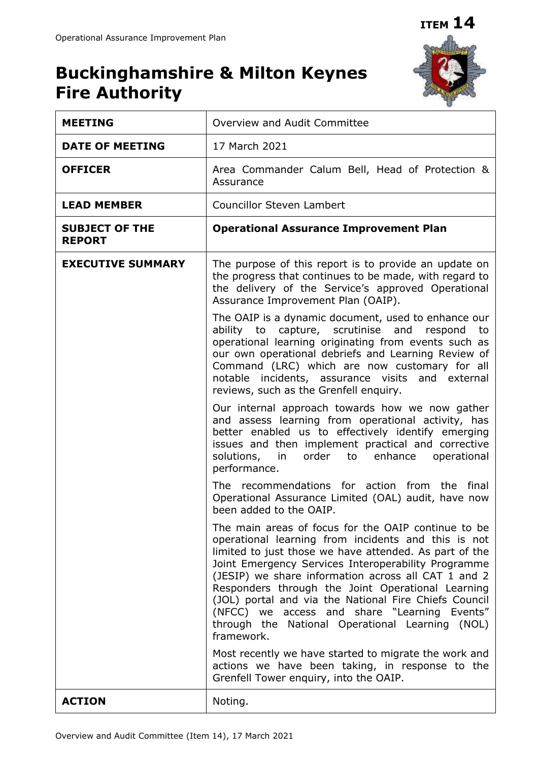# **Buckinghamshire & Milton Keynes Fire Authority**



| <b>MEETING</b>                         | Overview and Audit Committee                                                                                                                                                                                                                                                                                                                                                                                                                                                                                      |  |  |  |  |  |  |  |
|----------------------------------------|-------------------------------------------------------------------------------------------------------------------------------------------------------------------------------------------------------------------------------------------------------------------------------------------------------------------------------------------------------------------------------------------------------------------------------------------------------------------------------------------------------------------|--|--|--|--|--|--|--|
| <b>DATE OF MEETING</b>                 | 17 March 2021                                                                                                                                                                                                                                                                                                                                                                                                                                                                                                     |  |  |  |  |  |  |  |
| <b>OFFICER</b>                         | Area Commander Calum Bell, Head of Protection &<br>Assurance                                                                                                                                                                                                                                                                                                                                                                                                                                                      |  |  |  |  |  |  |  |
| <b>LEAD MEMBER</b>                     | <b>Councillor Steven Lambert</b>                                                                                                                                                                                                                                                                                                                                                                                                                                                                                  |  |  |  |  |  |  |  |
| <b>SUBJECT OF THE</b><br><b>REPORT</b> | <b>Operational Assurance Improvement Plan</b>                                                                                                                                                                                                                                                                                                                                                                                                                                                                     |  |  |  |  |  |  |  |
| <b>EXECUTIVE SUMMARY</b>               | The purpose of this report is to provide an update on<br>the progress that continues to be made, with regard to<br>the delivery of the Service's approved Operational<br>Assurance Improvement Plan (OAIP).                                                                                                                                                                                                                                                                                                       |  |  |  |  |  |  |  |
|                                        | The OAIP is a dynamic document, used to enhance our<br>ability to capture, scrutinise<br>and<br>respond<br>to<br>operational learning originating from events such as<br>our own operational debriefs and Learning Review of<br>Command (LRC) which are now customary for all<br>notable incidents, assurance visits and external<br>reviews, such as the Grenfell enquiry.                                                                                                                                       |  |  |  |  |  |  |  |
|                                        | Our internal approach towards how we now gather<br>and assess learning from operational activity, has<br>better enabled us to effectively identify emerging<br>issues and then implement practical and corrective<br>solutions, in<br>order to<br>enhance<br>operational<br>performance.                                                                                                                                                                                                                          |  |  |  |  |  |  |  |
|                                        | The recommendations for action from the final<br>Operational Assurance Limited (OAL) audit, have now<br>been added to the OAIP.                                                                                                                                                                                                                                                                                                                                                                                   |  |  |  |  |  |  |  |
|                                        | The main areas of focus for the OAIP continue to be<br>operational learning from incidents and this is not<br>limited to just those we have attended. As part of the<br>Joint Emergency Services Interoperability Programme<br>(JESIP) we share information across all CAT 1 and 2<br>Responders through the Joint Operational Learning<br>(JOL) portal and via the National Fire Chiefs Council<br>(NFCC) we access and share "Learning Events"<br>through the National Operational Learning (NOL)<br>framework. |  |  |  |  |  |  |  |
|                                        | Most recently we have started to migrate the work and<br>actions we have been taking, in response to the<br>Grenfell Tower enquiry, into the OAIP.                                                                                                                                                                                                                                                                                                                                                                |  |  |  |  |  |  |  |
| <b>ACTION</b>                          | Noting.                                                                                                                                                                                                                                                                                                                                                                                                                                                                                                           |  |  |  |  |  |  |  |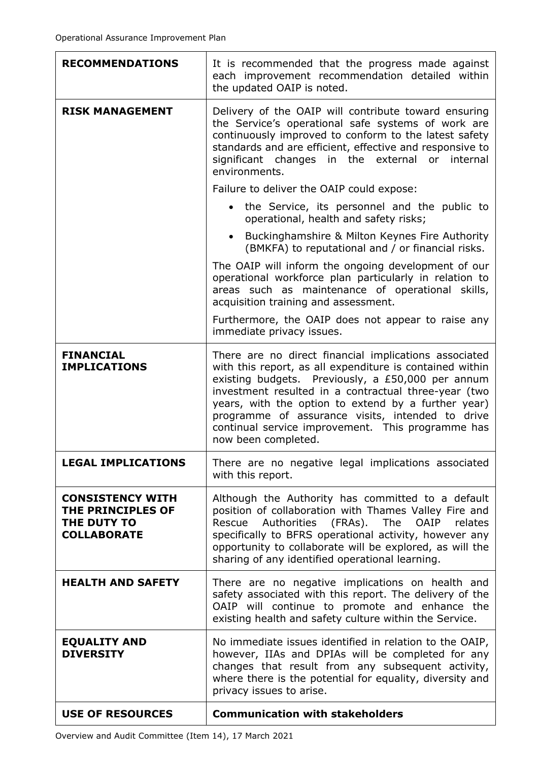| <b>RECOMMENDATIONS</b>                                                            | It is recommended that the progress made against<br>each improvement recommendation detailed within<br>the updated OAIP is noted.                                                                                                                                                                                                                                                                                     |  |  |  |  |  |  |  |  |
|-----------------------------------------------------------------------------------|-----------------------------------------------------------------------------------------------------------------------------------------------------------------------------------------------------------------------------------------------------------------------------------------------------------------------------------------------------------------------------------------------------------------------|--|--|--|--|--|--|--|--|
| <b>RISK MANAGEMENT</b>                                                            | Delivery of the OAIP will contribute toward ensuring<br>the Service's operational safe systems of work are<br>continuously improved to conform to the latest safety<br>standards and are efficient, effective and responsive to<br>significant changes<br>in the external<br>or<br>internal<br>environments.                                                                                                          |  |  |  |  |  |  |  |  |
|                                                                                   | Failure to deliver the OAIP could expose:                                                                                                                                                                                                                                                                                                                                                                             |  |  |  |  |  |  |  |  |
|                                                                                   | • the Service, its personnel and the public to<br>operational, health and safety risks;                                                                                                                                                                                                                                                                                                                               |  |  |  |  |  |  |  |  |
|                                                                                   | Buckinghamshire & Milton Keynes Fire Authority<br>(BMKFA) to reputational and / or financial risks.                                                                                                                                                                                                                                                                                                                   |  |  |  |  |  |  |  |  |
|                                                                                   | The OAIP will inform the ongoing development of our<br>operational workforce plan particularly in relation to<br>areas such as maintenance of operational skills,<br>acquisition training and assessment.                                                                                                                                                                                                             |  |  |  |  |  |  |  |  |
|                                                                                   | Furthermore, the OAIP does not appear to raise any<br>immediate privacy issues.                                                                                                                                                                                                                                                                                                                                       |  |  |  |  |  |  |  |  |
| <b>FINANCIAL</b><br><b>IMPLICATIONS</b>                                           | There are no direct financial implications associated<br>with this report, as all expenditure is contained within<br>existing budgets. Previously, a £50,000 per annum<br>investment resulted in a contractual three-year (two<br>years, with the option to extend by a further year)<br>programme of assurance visits, intended to drive<br>continual service improvement. This programme has<br>now been completed. |  |  |  |  |  |  |  |  |
| <b>LEGAL IMPLICATIONS</b>                                                         | There are no negative legal implications associated<br>with this report.                                                                                                                                                                                                                                                                                                                                              |  |  |  |  |  |  |  |  |
| <b>CONSISTENCY WITH</b><br>THE PRINCIPLES OF<br>THE DUTY TO<br><b>COLLABORATE</b> | Although the Authority has committed to a default<br>position of collaboration with Thames Valley Fire and<br>Rescue<br>Authorities<br>(FRAs).<br>The<br><b>OAIP</b><br>relates<br>specifically to BFRS operational activity, however any<br>opportunity to collaborate will be explored, as will the<br>sharing of any identified operational learning.                                                              |  |  |  |  |  |  |  |  |
| <b>HEALTH AND SAFETY</b>                                                          | There are no negative implications on health and<br>safety associated with this report. The delivery of the<br>OAIP will continue to promote and enhance the<br>existing health and safety culture within the Service.                                                                                                                                                                                                |  |  |  |  |  |  |  |  |
| <b>EQUALITY AND</b><br><b>DIVERSITY</b>                                           | No immediate issues identified in relation to the OAIP,<br>however, IIAs and DPIAs will be completed for any<br>changes that result from any subsequent activity,<br>where there is the potential for equality, diversity and<br>privacy issues to arise.                                                                                                                                                             |  |  |  |  |  |  |  |  |
| <b>USE OF RESOURCES</b>                                                           | <b>Communication with stakeholders</b>                                                                                                                                                                                                                                                                                                                                                                                |  |  |  |  |  |  |  |  |

Overview and Audit Committee (Item 14), 17 March 2021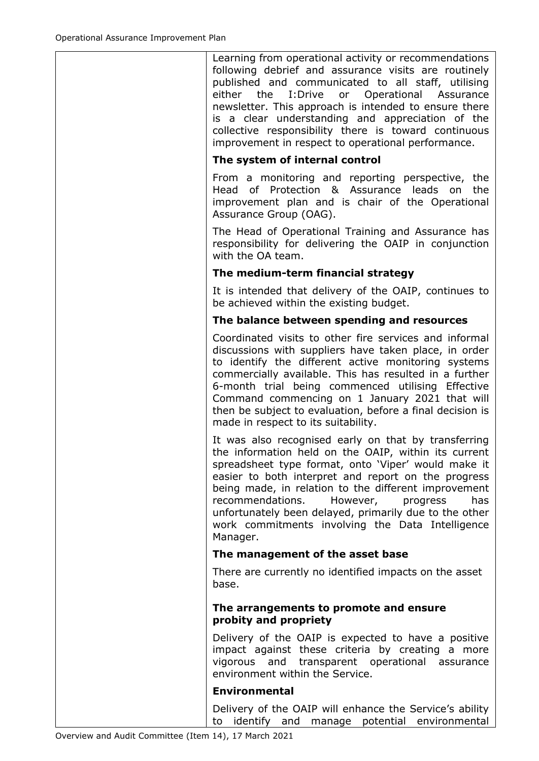Learning from operational activity or recommendations following debrief and assurance visits are routinely published and communicated to all staff, utilising either the I:Drive or Operational Assurance newsletter. This approach is intended to ensure there is a clear understanding and appreciation of the collective responsibility there is toward continuous improvement in respect to operational performance.

## **The system of internal control**

From a monitoring and reporting perspective, the Head of Protection & Assurance leads on the improvement plan and is chair of the Operational Assurance Group (OAG).

The Head of Operational Training and Assurance has responsibility for delivering the OAIP in conjunction with the OA team.

### **The medium-term financial strategy**

It is intended that delivery of the OAIP, continues to be achieved within the existing budget.

### **The balance between spending and resources**

Coordinated visits to other fire services and informal discussions with suppliers have taken place, in order to identify the different active monitoring systems commercially available. This has resulted in a further 6-month trial being commenced utilising Effective Command commencing on 1 January 2021 that will then be subject to evaluation, before a final decision is made in respect to its suitability.

It was also recognised early on that by transferring the information held on the OAIP, within its current spreadsheet type format, onto 'Viper' would make it easier to both interpret and report on the progress being made, in relation to the different improvement recommendations. However, progress has unfortunately been delayed, primarily due to the other work commitments involving the Data Intelligence Manager.

#### **The management of the asset base**

There are currently no identified impacts on the asset base.

#### **The arrangements to promote and ensure probity and propriety**

Delivery of the OAIP is expected to have a positive impact against these criteria by creating a more vigorous and transparent operational assurance environment within the Service.

## **Environmental**

Delivery of the OAIP will enhance the Service's ability to identify and manage potential environmental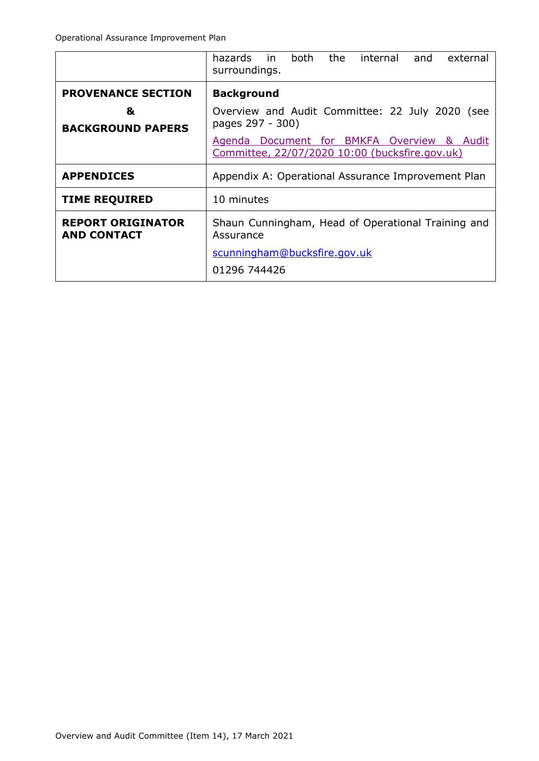|                                                | both<br>the<br>hazards in<br>internal<br>external<br>and<br>surroundings.                    |  |  |  |  |  |  |  |  |  |  |
|------------------------------------------------|----------------------------------------------------------------------------------------------|--|--|--|--|--|--|--|--|--|--|
| <b>PROVENANCE SECTION</b>                      | <b>Background</b>                                                                            |  |  |  |  |  |  |  |  |  |  |
| &<br><b>BACKGROUND PAPERS</b>                  | Overview and Audit Committee: 22 July 2020 (see<br>pages 297 - 300)                          |  |  |  |  |  |  |  |  |  |  |
|                                                | Agenda Document for BMKFA Overview & Audit<br>Committee, 22/07/2020 10:00 (bucksfire.gov.uk) |  |  |  |  |  |  |  |  |  |  |
| <b>APPENDICES</b>                              | Appendix A: Operational Assurance Improvement Plan                                           |  |  |  |  |  |  |  |  |  |  |
| <b>TIME REQUIRED</b>                           | 10 minutes                                                                                   |  |  |  |  |  |  |  |  |  |  |
| <b>REPORT ORIGINATOR</b><br><b>AND CONTACT</b> | Shaun Cunningham, Head of Operational Training and<br>Assurance                              |  |  |  |  |  |  |  |  |  |  |
|                                                | scunningham@bucksfire.gov.uk                                                                 |  |  |  |  |  |  |  |  |  |  |
|                                                | 01296 744426                                                                                 |  |  |  |  |  |  |  |  |  |  |